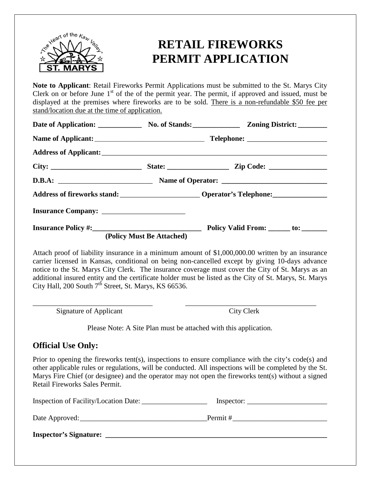

## **RETAIL FIREWORKS PERMIT APPLICATION**

**Note to Applicant**: Retail Fireworks Permit Applications must be submitted to the St. Marys City Clerk on or before June  $1<sup>st</sup>$  of the of the permit year. The permit, if approved and issued, must be displayed at the premises where fireworks are to be sold. There is a non-refundable \$50 fee per stand/location due at the time of application.

|                           | Date of Application: No. of Stands: Zoning District: |  |  |  |
|---------------------------|------------------------------------------------------|--|--|--|
|                           |                                                      |  |  |  |
|                           |                                                      |  |  |  |
|                           |                                                      |  |  |  |
|                           |                                                      |  |  |  |
|                           |                                                      |  |  |  |
|                           |                                                      |  |  |  |
|                           |                                                      |  |  |  |
| (Policy Must Be Attached) |                                                      |  |  |  |

Attach proof of liability insurance in a minimum amount of \$1,000,000.00 written by an insurance carrier licensed in Kansas, conditional on being non-cancelled except by giving 10-days advance notice to the St. Marys City Clerk. The insurance coverage must cover the City of St. Marys as an additional insured entity and the certificate holder must be listed as the City of St. Marys, St. Marys City Hall, 200 South  $7<sup>th</sup>$  Street, St. Marys, KS 66536.

Signature of Applicant City Clerk

Please Note: A Site Plan must be attached with this application.

\_\_\_\_\_\_\_\_\_\_\_\_\_\_\_\_\_\_\_\_\_\_\_\_\_\_\_\_\_\_\_\_\_ \_\_\_\_\_\_\_\_\_\_\_\_\_\_\_\_\_\_\_\_\_\_\_\_\_\_\_\_\_\_\_\_\_\_\_\_

### **Official Use Only:**

Prior to opening the fireworks tent(s), inspections to ensure compliance with the city's code(s) and other applicable rules or regulations, will be conducted. All inspections will be completed by the St. Marys Fire Chief (or designee) and the operator may not open the fireworks tent(s) without a signed Retail Fireworks Sales Permit.

| Inspection of Facility/Location Date: | Inspector: |
|---------------------------------------|------------|
| Date Approved:                        | Permit #   |
| <b>Inspector's Signature:</b>         |            |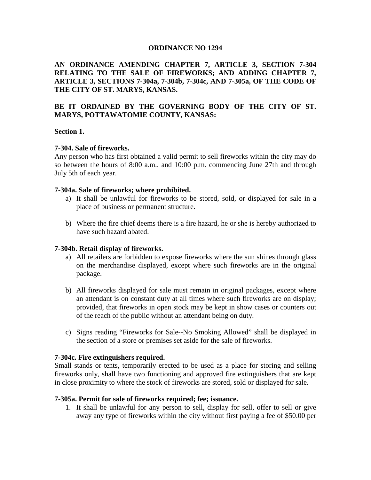#### **ORDINANCE NO 1294**

#### **AN ORDINANCE AMENDING CHAPTER 7, ARTICLE 3, SECTION 7-304 RELATING TO THE SALE OF FIREWORKS; AND ADDING CHAPTER 7, ARTICLE 3, SECTIONS 7-304a, 7-304b, 7-304c, AND 7-305a, OF THE CODE OF THE CITY OF ST. MARYS, KANSAS.**

#### **BE IT ORDAINED BY THE GOVERNING BODY OF THE CITY OF ST. MARYS, POTTAWATOMIE COUNTY, KANSAS:**

#### **Section 1.**

#### **7-304. Sale of fireworks.**

Any person who has first obtained a valid permit to sell fireworks within the city may do so between the hours of 8:00 a.m., and 10:00 p.m. commencing June 27th and through July 5th of each year.

#### **7-304a. Sale of fireworks; where prohibited.**

- a) It shall be unlawful for fireworks to be stored, sold, or displayed for sale in a place of business or permanent structure.
- b) Where the fire chief deems there is a fire hazard, he or she is hereby authorized to have such hazard abated.

#### **7-304b. Retail display of fireworks.**

- a) All retailers are forbidden to expose fireworks where the sun shines through glass on the merchandise displayed, except where such fireworks are in the original package.
- b) All fireworks displayed for sale must remain in original packages, except where an attendant is on constant duty at all times where such fireworks are on display; provided, that fireworks in open stock may be kept in show cases or counters out of the reach of the public without an attendant being on duty.
- c) Signs reading "Fireworks for Sale--No Smoking Allowed" shall be displayed in the section of a store or premises set aside for the sale of fireworks.

#### **7-304c. Fire extinguishers required.**

Small stands or tents, temporarily erected to be used as a place for storing and selling fireworks only, shall have two functioning and approved fire extinguishers that are kept in close proximity to where the stock of fireworks are stored, sold or displayed for sale.

#### **7-305a. Permit for sale of fireworks required; fee; issuance.**

1. It shall be unlawful for any person to sell, display for sell, offer to sell or give away any type of fireworks within the city without first paying a fee of \$50.00 per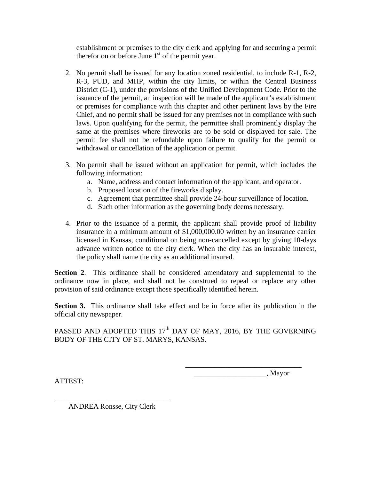establishment or premises to the city clerk and applying for and securing a permit therefor on or before June  $1<sup>st</sup>$  of the permit year.

- 2. No permit shall be issued for any location zoned residential, to include R-1, R-2, R-3, PUD, and MHP, within the city limits, or within the Central Business District (C-1), under the provisions of the Unified Development Code. Prior to the issuance of the permit, an inspection will be made of the applicant's establishment or premises for compliance with this chapter and other pertinent laws by the Fire Chief, and no permit shall be issued for any premises not in compliance with such laws. Upon qualifying for the permit, the permittee shall prominently display the same at the premises where fireworks are to be sold or displayed for sale. The permit fee shall not be refundable upon failure to qualify for the permit or withdrawal or cancellation of the application or permit.
- 3. No permit shall be issued without an application for permit, which includes the following information:
	- a. Name, address and contact information of the applicant, and operator.
	- b. Proposed location of the fireworks display.
	- c. Agreement that permittee shall provide 24-hour surveillance of location.
	- d. Such other information as the governing body deems necessary.
- 4. Prior to the issuance of a permit, the applicant shall provide proof of liability insurance in a minimum amount of \$1,000,000.00 written by an insurance carrier licensed in Kansas, conditional on being non-cancelled except by giving 10-days advance written notice to the city clerk. When the city has an insurable interest, the policy shall name the city as an additional insured.

**Section 2**. This ordinance shall be considered amendatory and supplemental to the ordinance now in place, and shall not be construed to repeal or replace any other provision of said ordinance except those specifically identified herein.

**Section 3.** This ordinance shall take effect and be in force after its publication in the official city newspaper.

PASSED AND ADOPTED THIS  $17<sup>th</sup>$  DAY OF MAY, 2016, BY THE GOVERNING BODY OF THE CITY OF ST. MARYS, KANSAS.

> \_\_\_\_\_\_\_\_\_\_\_\_\_\_\_\_\_\_\_\_\_\_\_\_\_\_\_\_\_\_\_\_ \_\_\_\_\_\_\_\_\_\_\_\_\_\_\_\_\_\_\_\_, Mayor

ATTEST:

\_\_\_\_\_\_\_\_\_\_\_\_\_\_\_\_\_\_\_\_\_\_\_\_\_\_\_\_\_\_\_\_ ANDREA Ronsse, City Clerk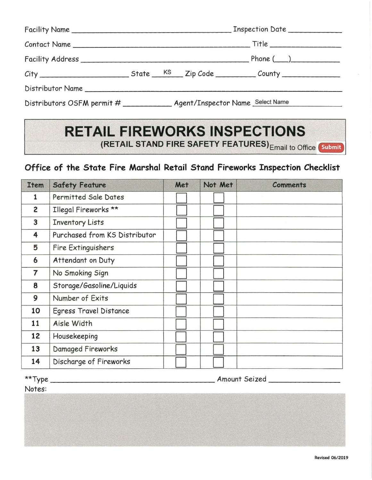|  |  | Distributors OSFM permit # ____________ Agent/Inspector Name Select Name |
|--|--|--------------------------------------------------------------------------|

# **RETAIL FIREWORKS INSPECTIONS (RETAIL STAND FIRE SAFETY FEATURES)** Email to Office **[Submit]**

### **Office of the State Fire Marshal Retail Stand Fireworks Inspection Checklist**

| <b>Item</b> | <b>Safety Feature</b>         | Met | Not Met | <b>Comments</b> |
|-------------|-------------------------------|-----|---------|-----------------|
| 1           | Permitted Sale Dates          |     |         |                 |
| 2           | Illegal Fireworks **          |     |         |                 |
| 3           | <b>Inventory Lists</b>        |     |         |                 |
| 4           | Purchased from KS Distributor |     |         |                 |
| 5           | Fire Extinguishers            |     |         |                 |
| 6           | Attendant on Duty             |     |         |                 |
| 7           | No Smoking Sign               |     |         |                 |
| 8           | Storage/Gasoline/Liquids      |     |         |                 |
| 9           | Number of Exits               |     |         |                 |
| 10          | Egress Travel Distance        |     |         |                 |
| 11          | Aisle Width                   |     |         |                 |
| 12          | Housekeeping                  |     |         |                 |
| 13          | Damaged Fireworks             |     |         |                 |
| 14          | Discharge of Fireworks        |     |         |                 |

|                  | Amount Seized |  |  |  |  |
|------------------|---------------|--|--|--|--|
| **Type<br>Notes: |               |  |  |  |  |
|                  |               |  |  |  |  |
|                  |               |  |  |  |  |
|                  |               |  |  |  |  |
|                  |               |  |  |  |  |
|                  |               |  |  |  |  |